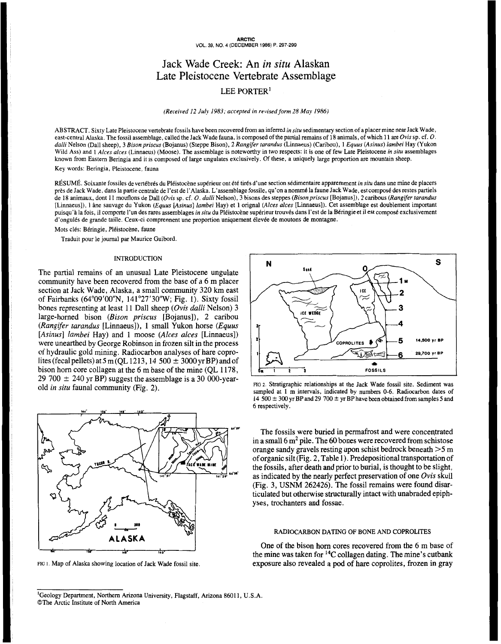# Jack Wade Creek: An *in situ* Alaskan Late Pleistocene Vertebrate Assemblage

## LEE PORTER'

*(Received 12 July 1983; accepted in revised form* 28 *May 1986)* 

ABSTRACT. Sixty Late Pleistocene vertebrate fossils have been recovered from an inferred *in situ* sedimentary section of a placer mine near Jack Wade, east-central Alaska. The fossil assemblage, called the Jack Wade fauna, is composed **of** the partial remains of 18 animals, of which **11** are *Ovis* sp. cf. *O. dalli* Nelson (Dall sheep), **3** *Bisonpriscus* (Bojanus) (Steppe Bison), 2 *Rangifer tarundus* (Linnaeus) (Caribou), 1 *Equus (Asinus) lumbei* Hay (Yukon Wild Ass) and 1 *Alces alces* (Linnaeus) (Moose). The assemblage is noteworthy in two respects: it is one of few Late Pleistocene *in situ* assemblages known from Eastern Beringia and it is composed of large ungulates exclusively. Of these, a uniquely large proportion are mountain sheep.

Key words: Beringia, Pleistocene, fauna

RÉSUMÉ. Soixante fossiles de vertébrés du Pléistocène supérieur ont été tirés d'une section sédimentaire apparemment *in situ* dans une mine de placers près de Jack Wade, dans la partie centrale de l'est de l'Alaska. L'assemblage fossile, qu'on anommé la faune Jack Wade, est composé des restes partiels de 18 animaux, dont 11 mouflons de Dall *(Ovis* sp. cf. *O. dalli* Nelson), **3** bisons des steppes *(Bisonpriscus* [Bojanus]), **2** caribous *(Rangifer rarandus*  [Linnaeus]), 1 âne sauvage du Yukon *(Equus* [Asinus] *lambei* Hay) et **1** orignal *(Alces alces* [Linnaeus]). Cet assemblage est doublement important puisqu'à la fois, il comporte l'un des rares assemblages *in situ* du Pléistocène supérieur trouvés dans l'est de la Béringie et il est compost exclusivement d'ongulés de grande taille. Ceux-ci comprennent une proportion uniquement élevée de moutons de montagne.

Mots clés: Béringie, Pléistocène, faune

Traduit pour le journal par Maurice Guibord.

## INTRODUCTION

The partial remains of an unusual Late Pleistocene ungulate community have been recovered from the base of a 6 m placer section at Jack Wade, Alaska, a small community 320 km east of Fairbanks (64"09'00"N, 141"27'30"W; Fig. **1).** Sixty fossil bones representing at least 11 Dall sheep *(Ovis dulli* Nelson) 3 large-horned bison *(Bison priscus* [Bojanus]), 2 caribou *(Rungifer turandus* [Linnaeus]), **1** small Yukon horse *(Equus [Asinus] lumbei* Hay) and **1** moose *(Alces alces* [Linnaeus]) were unearthed by George Robinson in frozen silt in the process of hydraulic gold mining. Radiocarbon analyses of hare coprolites (fecal pellets) at 5 m (QL 1213, 14 500  $\pm$  3000 yr BP) and of bison horn core collagen at the 6 m base of the mine (QL 1178, 29 700  $\pm$  240 yr BP) suggest the assemblage is a 30 000-yearold *in situ* faunal community (Fig. **2).** 



**FIG I.** Map **of** Alaska showing location of Jack Wade fossil site.



**FIG 2.** Stratigraphic relationships at the Jack Wade fossil site. Sediment was sampled at 1 m intervals, indicated by numbers 0-6. Radiocarbon dates of 14  $500 \pm 300$  yr BP and 29  $700 \pm$  yr BP have been obtained from samples 5 and *6* respectively.

The fossils were buried in permafrost and were concentrated in a small  $6 \text{ m}^2$  pile. The 60 bones were recovered from schistose orange sandy gravels resting upon schist bedrock beneath *>5* m of organic silt (Fig. **2,** Table 1). Predepositional transportation of the fossils, after death and prior to burial, is thought to be slight, as indicated by the nearly perfect preservation of one *Ovis* skull (Fig. 3, USNM 262426). The fossil remains were found disarticulated but otherwise structurally intact with unabraded epiphyses, trochanters and fossae.

## RADIOCARBON DATING **OF** BONE AND COPROLITES

One of the bison horn cores recovered from the 6 m base of the mine was taken for **14C** collagen dating. The mine's cutbank exposure also revealed a pod of hare coprolites, frozen in gray

<sup>&</sup>lt;sup>1</sup>Geology Department, Northern Arizona University, Flagstaff, Arizona 86011, U.S.A. @The Arctic Institute of North America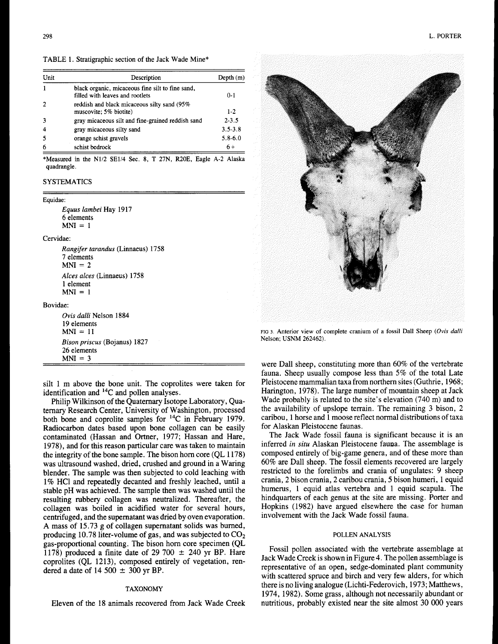TABLE **1.** Stratigraphic section of the Jack Wade Mine\*

| Unit | Description                                                                         | Depth $(m)$ |
|------|-------------------------------------------------------------------------------------|-------------|
|      | black organic, micaceous fine silt to fine sand,<br>filled with leaves and rootlets | $0 - 1$     |
|      | reddish and black micaceous silty sand (95%)<br>muscovite; 5% biotite)              | 1-2         |
|      | gray micaceous silt and fine-grained reddish sand                                   | $2 - 3.5$   |
|      | gray micaceous silty sand                                                           | $3.5 - 3.8$ |
|      | orange schist gravels                                                               | $5.8 - 6.0$ |
|      | schist bedrock                                                                      | $6+$        |

**\*Measured in the NU2 SE1/4 Sec. 8, T 27N, R20E, Eagle A-2 Alaska quadrangle.** 

## **SYSTEMATICS**

#### **Equidae:**

*Equus lambei* Hay **1917**  *6* elements  $MNI = 1$ 

#### Cervidae:

*Rangifer tarandus* (Linnaeus) **1758 7** elements  $MNI = 2$ *Alces alces* (Linnaeus) **1758 <sup>1</sup>**element  $MNI = 1$ 

#### Bovidae:

*Ovis dulli* Nelson **1884 19** elements  $MNI = 11$ *Bison priscus* (Bojanus) **1827**  *26* elements  $MNI = 3$ 

silt 1 m above the bone unit. The coprolites were taken for identification and 14C and pollen analyses.

Philip Wilkinson of the Quaternary Isotope Laboratory, Quaternary Research Center, University of Washington, processed both bone and coprolite samples for 14C in February 1979. Radiocarbon dates based upon bone collagen can be easily contaminated (Hassan and Ortner, 1977; Hassan and Hare, 1978), and for this reason particular care was taken to maintain the integrity of the bone sample. The bison horn core (QL 1 178) was ultrasound washed, dried, crushed and ground in a Waring blender. The sample was then subjected to cold leaching with 1% HC1 and repeatedly decanted and freshly leached, until a stable pH was achieved. The sample then was washed until the resulting rubbery collagen was neutralized. Thereafter, the collagen was boiled in acidified water for several hours, centrifuged, and the supernatant was dried by oven evaporation. A mass of 15.73 g of collagen supernatant solids was burned, producing 10.78 liter-volume of gas, and was subjected to  $CO<sub>2</sub>$ gas-proportional counting. The bison horn core specimen (QL 1178) produced a finite date of 29 700  $\pm$  240 yr BP. Hare coprolites (QL 1213), composed entirely of vegetation, rendered a date of  $14\,500 \pm 300$  yr BP.

## **TAXONOMY**

Eleven of the 18 animals recovered from Jack Wade Creek



FIG **3. Anterior view of complete cranium of a fossil Dall Sheep** *(Ovis dalli*  **Nelson; USNM 262462).** 

were Dall sheep, constituting more than 60% of the vertebrate fauna. Sheep usually compose less than 5% of the total Late Pleistocene mammalian taxa from northern sites (Guthrie, 1968; Harington, 1978). The large number of mountain sheep at Jack Wade probably is related to the site's elevation (740 m) and to the availability of upslope terrain. The remaining **3** bison, **2**  caribou, 1 horse and 1 moose reflect normal distributions of taxa for Alaskan Pleistocene faunas.

The Jack Wade fossil fauna is significant because it is an inferred *in situ* Alaskan Pleistocene fauna. The assemblage is composed entirely of big-game genera, and of these more than 60% are Dall sheep. The fossil elements recovered are largely restricted to the forelimbs and crania of ungulates: 9 sheep crania, 2 bison crania, 2 caribou crania, *5* bison humeri, 1 equid humerus, 1 equid atlas vertebra and 1 equid scapula. The hindquarters of each genus at the site are missing. Porter and Hopkins (1982) have argued elsewhere the case for human involvement with the Jack Wade fossil fauna.

## **POLLEN ANALYSIS**

Fossil pollen associated with the vertebrate assemblage at Jack Wade Creek is shown in Figure 4. The pollen assemblage is representative of an open, sedge-dominated plant community with scattered spruce and birch and very few alders, for which there is no living analogue (Lichti-Federovich, 1973; Matthews, 1974, 1982). Some grass, although not necessarily abundant or nutritious, probably existed near the site almost 30 O00 years